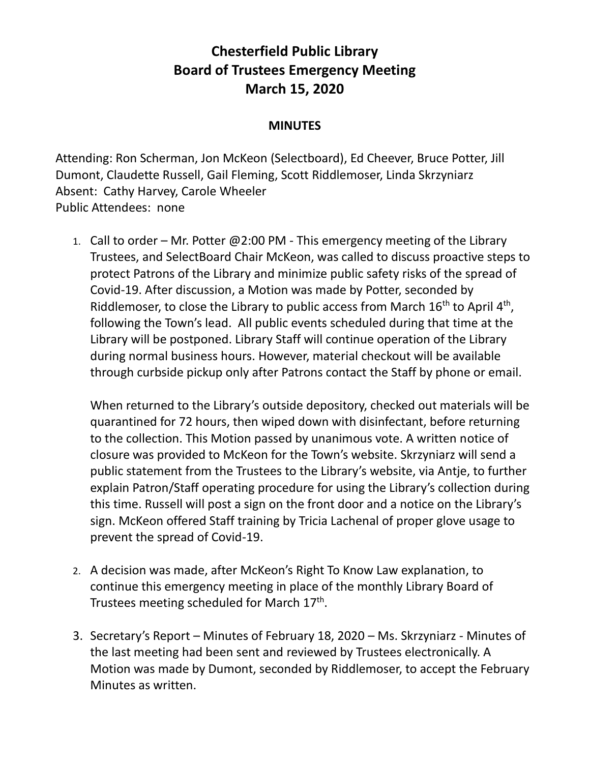## **Chesterfield Public Library Board of Trustees Emergency Meeting March 15, 2020**

## **MINUTES**

Attending: Ron Scherman, Jon McKeon (Selectboard), Ed Cheever, Bruce Potter, Jill Dumont, Claudette Russell, Gail Fleming, Scott Riddlemoser, Linda Skrzyniarz Absent: Cathy Harvey, Carole Wheeler Public Attendees: none

1. Call to order – Mr. Potter @2:00 PM - This emergency meeting of the Library Trustees, and SelectBoard Chair McKeon, was called to discuss proactive steps to protect Patrons of the Library and minimize public safety risks of the spread of Covid-19. After discussion, a Motion was made by Potter, seconded by Riddlemoser, to close the Library to public access from March  $16<sup>th</sup>$  to April  $4<sup>th</sup>$ , following the Town's lead. All public events scheduled during that time at the Library will be postponed. Library Staff will continue operation of the Library during normal business hours. However, material checkout will be available through curbside pickup only after Patrons contact the Staff by phone or email.

When returned to the Library's outside depository, checked out materials will be quarantined for 72 hours, then wiped down with disinfectant, before returning to the collection. This Motion passed by unanimous vote. A written notice of closure was provided to McKeon for the Town's website. Skrzyniarz will send a public statement from the Trustees to the Library's website, via Antje, to further explain Patron/Staff operating procedure for using the Library's collection during this time. Russell will post a sign on the front door and a notice on the Library's sign. McKeon offered Staff training by Tricia Lachenal of proper glove usage to prevent the spread of Covid-19.

- 2. A decision was made, after McKeon's Right To Know Law explanation, to continue this emergency meeting in place of the monthly Library Board of Trustees meeting scheduled for March 17<sup>th</sup>.
- 3. Secretary's Report Minutes of February 18, 2020 Ms. Skrzyniarz Minutes of the last meeting had been sent and reviewed by Trustees electronically. A Motion was made by Dumont, seconded by Riddlemoser, to accept the February Minutes as written.